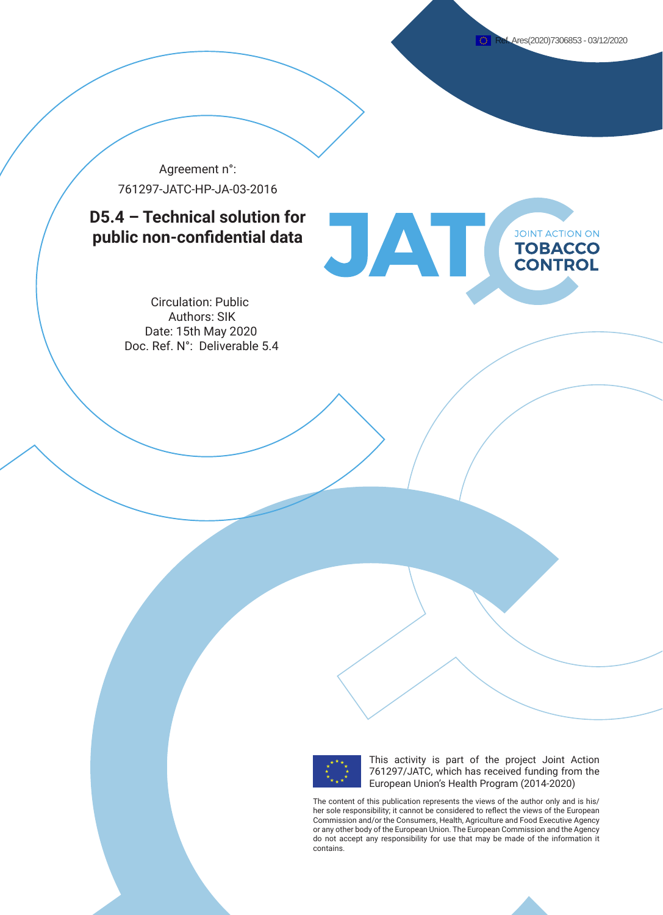Agreement n°: 761297-JATC-HP-JA-03-2016

# **D5.4 – Technical solution for public non-confidential data**



Circulation: Public Authors: SIK Date: 15th May 2020 Doc. Ref. N°: Deliverable 5.4



This activity is part of the project Joint Action 761297/JATC, which has received funding from the European Union's Health Program (2014-2020)

The content of this publication represents the views of the author only and is his/ her sole responsibility; it cannot be considered to reflect the views of the European Commission and/or the Consumers, Health, Agriculture and Food Executive Agency or any other body of the European Union. The European Commission and the Agency do not accept any responsibility for use that may be made of the information it contains.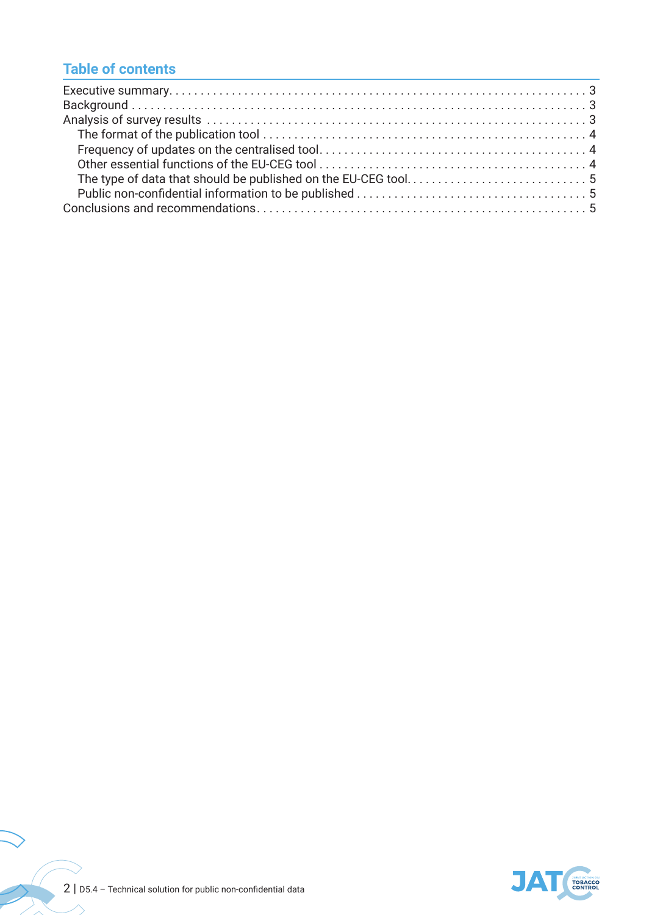## **Table of contents**



 $\sqrt{2}$ 

 $\ge$  $\overline{\phantom{a}}$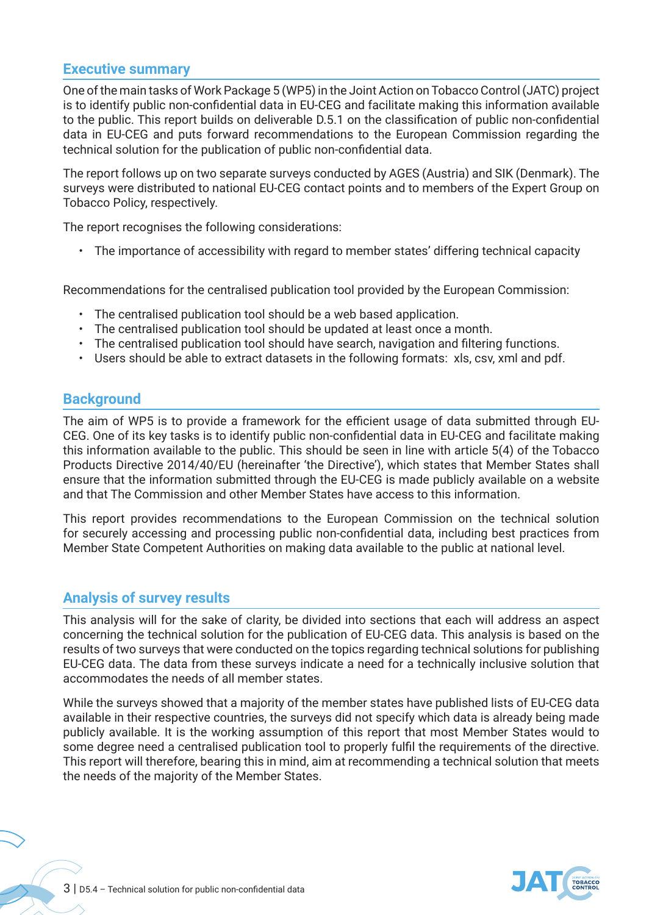#### **Executive summary**

One of the main tasks of Work Package 5 (WP5) in the Joint Action on Tobacco Control (JATC) project is to identify public non-confidential data in EU-CEG and facilitate making this information available to the public. This report builds on deliverable D.5.1 on the classification of public non-confidential data in EU-CEG and puts forward recommendations to the European Commission regarding the technical solution for the publication of public non-confidential data.

The report follows up on two separate surveys conducted by AGES (Austria) and SIK (Denmark). The surveys were distributed to national EU-CEG contact points and to members of the Expert Group on Tobacco Policy, respectively.

The report recognises the following considerations:

• The importance of accessibility with regard to member states' differing technical capacity

Recommendations for the centralised publication tool provided by the European Commission:

- The centralised publication tool should be a web based application.
- The centralised publication tool should be updated at least once a month.
- The centralised publication tool should have search, navigation and filtering functions.
- Users should be able to extract datasets in the following formats: xls, csv, xml and pdf.

#### **Background**

The aim of WP5 is to provide a framework for the efficient usage of data submitted through EU-CEG. One of its key tasks is to identify public non-confidential data in EU-CEG and facilitate making this information available to the public. This should be seen in line with article 5(4) of the Tobacco Products Directive 2014/40/EU (hereinafter 'the Directive'), which states that Member States shall ensure that the information submitted through the EU-CEG is made publicly available on a website and that The Commission and other Member States have access to this information.

This report provides recommendations to the European Commission on the technical solution for securely accessing and processing public non-confidential data, including best practices from Member State Competent Authorities on making data available to the public at national level.

#### **Analysis of survey results**

This analysis will for the sake of clarity, be divided into sections that each will address an aspect concerning the technical solution for the publication of EU-CEG data. This analysis is based on the results of two surveys that were conducted on the topics regarding technical solutions for publishing EU-CEG data. The data from these surveys indicate a need for a technically inclusive solution that accommodates the needs of all member states.

While the surveys showed that a majority of the member states have published lists of EU-CEG data available in their respective countries, the surveys did not specify which data is already being made publicly available. It is the working assumption of this report that most Member States would to some degree need a centralised publication tool to properly fulfil the requirements of the directive. This report will therefore, bearing this in mind, aim at recommending a technical solution that meets the needs of the majority of the Member States.

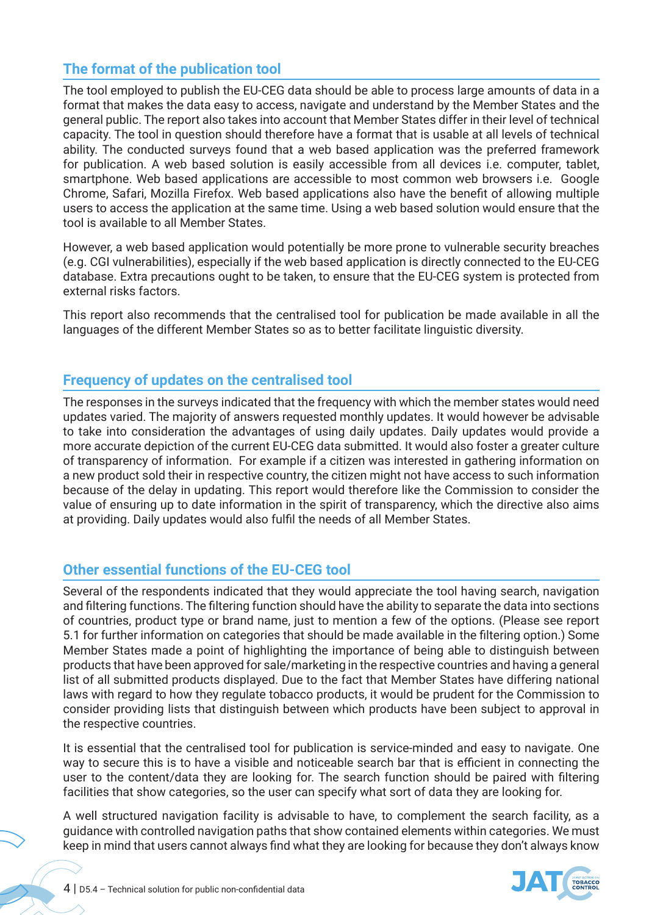## **The format of the publication tool**

The tool employed to publish the EU-CEG data should be able to process large amounts of data in a format that makes the data easy to access, navigate and understand by the Member States and the general public. The report also takes into account that Member States differ in their level of technical capacity. The tool in question should therefore have a format that is usable at all levels of technical ability. The conducted surveys found that a web based application was the preferred framework for publication. A web based solution is easily accessible from all devices i.e. computer, tablet, smartphone. Web based applications are accessible to most common web browsers i.e. Google Chrome, Safari, Mozilla Firefox. Web based applications also have the benefit of allowing multiple users to access the application at the same time. Using a web based solution would ensure that the tool is available to all Member States.

However, a web based application would potentially be more prone to vulnerable security breaches (e.g. CGI vulnerabilities), especially if the web based application is directly connected to the EU-CEG database. Extra precautions ought to be taken, to ensure that the EU-CEG system is protected from external risks factors.

This report also recommends that the centralised tool for publication be made available in all the languages of the different Member States so as to better facilitate linguistic diversity.

### **Frequency of updates on the centralised tool**

The responses in the surveys indicated that the frequency with which the member states would need updates varied. The majority of answers requested monthly updates. It would however be advisable to take into consideration the advantages of using daily updates. Daily updates would provide a more accurate depiction of the current EU-CEG data submitted. It would also foster a greater culture of transparency of information. For example if a citizen was interested in gathering information on a new product sold their in respective country, the citizen might not have access to such information because of the delay in updating. This report would therefore like the Commission to consider the value of ensuring up to date information in the spirit of transparency, which the directive also aims at providing. Daily updates would also fulfil the needs of all Member States.

### **Other essential functions of the EU-CEG tool**

Several of the respondents indicated that they would appreciate the tool having search, navigation and filtering functions. The filtering function should have the ability to separate the data into sections of countries, product type or brand name, just to mention a few of the options. (Please see report 5.1 for further information on categories that should be made available in the filtering option.) Some Member States made a point of highlighting the importance of being able to distinguish between products that have been approved for sale/marketing in the respective countries and having a general list of all submitted products displayed. Due to the fact that Member States have differing national laws with regard to how they regulate tobacco products, it would be prudent for the Commission to consider providing lists that distinguish between which products have been subject to approval in the respective countries.

It is essential that the centralised tool for publication is service-minded and easy to navigate. One way to secure this is to have a visible and noticeable search bar that is efficient in connecting the user to the content/data they are looking for. The search function should be paired with filtering facilities that show categories, so the user can specify what sort of data they are looking for.

A well structured navigation facility is advisable to have, to complement the search facility, as a guidance with controlled navigation paths that show contained elements within categories. We must keep in mind that users cannot always find what they are looking for because they don't always know